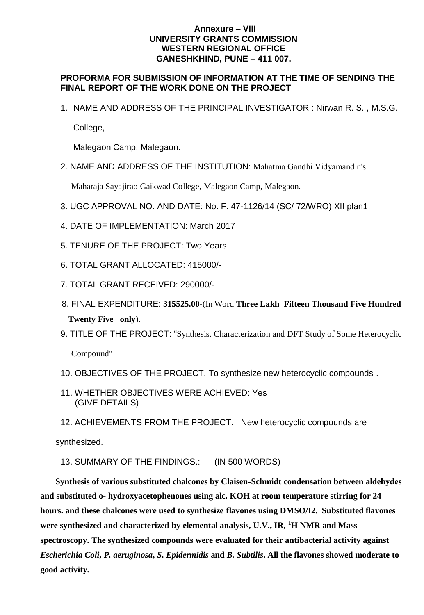## **Annexure – VIII UNIVERSITY GRANTS COMMISSION WESTERN REGIONAL OFFICE GANESHKHIND, PUNE – 411 007.**

## **PROFORMA FOR SUBMISSION OF INFORMATION AT THE TIME OF SENDING THE FINAL REPORT OF THE WORK DONE ON THE PROJECT**

1. NAME AND ADDRESS OF THE PRINCIPAL INVESTIGATOR : Nirwan R. S. , M.S.G.

College,

Malegaon Camp, Malegaon.

2. NAME AND ADDRESS OF THE INSTITUTION: Mahatma Gandhi Vidyamandir's

Maharaja Sayajirao Gaikwad College, Malegaon Camp, Malegaon.

- 3. UGC APPROVAL NO. AND DATE: No. F. 47-1126/14 (SC/ 72/WRO) XII plan1
- 4. DATE OF IMPLEMENTATION: March 2017
- 5. TENURE OF THE PROJECT: Two Years
- 6. TOTAL GRANT ALLOCATED: 415000/-
- 7. TOTAL GRANT RECEIVED: 290000/-
- 8. FINAL EXPENDITURE: **315525.00**-(In Word **Three Lakh Fifteen Thousand Five Hundred Twenty Five only**).
- 9. TITLE OF THE PROJECT: "Synthesis. Characterization and DFT Study of Some Heterocyclic

Compound"

- 10. OBJECTIVES OF THE PROJECT. To synthesize new heterocyclic compounds .
- 11. WHETHER OBJECTIVES WERE ACHIEVED: Yes (GIVE DETAILS)
- 12. ACHIEVEMENTS FROM THE PROJECT. New heterocyclic compounds are

synthesized.

13. SUMMARY OF THE FINDINGS.: (IN 500 WORDS)

**Synthesis of various substituted chalcones by Claisen-Schmidt condensation between aldehydes and substituted o- hydroxyacetophenones using alc. KOH at room temperature stirring for 24 hours. and these chalcones were used to synthesize flavones using DMSO/I2. Substituted flavones were synthesized and characterized by elemental analysis, U.V., IR, <sup>1</sup>H NMR and Mass spectroscopy. The synthesized compounds were evaluated for their antibacterial activity against**  *Escherichia Coli***,** *P. aeruginosa***,** *S***.** *Epidermidis* **and** *B. Subtilis***. All the flavones showed moderate to good activity.**